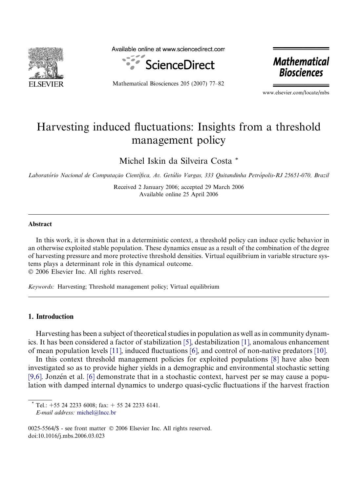

Available online at www.sciencedirect.com



Mathematical Biosciences 205 (2007) 77–82

**Mathematical Biosciences** 

www.elsevier.com/locate/mbs

# Harvesting induced fluctuations: Insights from a threshold management policy

Michel Iskin da Silveira Costa \*

Laboratório Nacional de Computação Científica, Av. Getúlio Vargas, 333 Quitandinha Petrópolis-RJ 25651-070, Brazil

Received 2 January 2006; accepted 29 March 2006 Available online 25 April 2006

### Abstract

In this work, it is shown that in a deterministic context, a threshold policy can induce cyclic behavior in an otherwise exploited stable population. These dynamics ensue as a result of the combination of the degree of harvesting pressure and more protective threshold densities. Virtual equilibrium in variable structure systems plays a determinant role in this dynamical outcome.

© 2006 Elsevier Inc. All rights reserved.

Keywords: Harvesting; Threshold management policy; Virtual equilibrium

### 1. Introduction

Harvesting has been a subject of theoretical studies in population as well as in community dynamics. It has been considered a factor of stabilization [\[5\]](#page--1-0), destabilization [\[1\],](#page--1-0) anomalous enhancement of mean population levels [\[11\],](#page--1-0) induced fluctuations [\[6\],](#page--1-0) and control of non-native predators [\[10\]](#page--1-0).

In this context threshold management policies for exploited populations [\[8\]](#page--1-0) have also been investigated so as to provide higher yields in a demographic and environmental stochastic setting [\[9,6\]](#page--1-0). Jonzén et al. [\[6\]](#page--1-0) demonstrate that in a stochastic context, harvest per se may cause a population with damped internal dynamics to undergo quasi-cyclic fluctuations if the harvest fraction

Tel.:  $+55$  24 2233 6008; fax:  $+ 55$  24 2233 6141.

E-mail address: [michel@lncc.br](mailto:michel@lncc.br)

<sup>0025-5564/\$ -</sup> see front matter © 2006 Elsevier Inc. All rights reserved. doi:10.1016/j.mbs.2006.03.023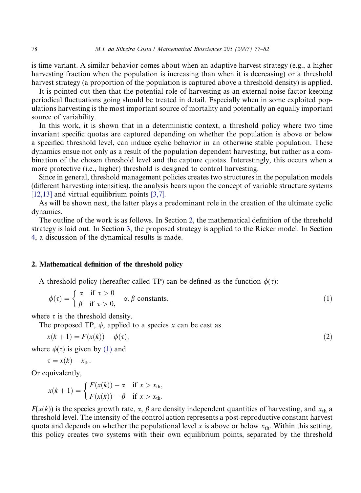is time variant. A similar behavior comes about when an adaptive harvest strategy (e.g., a higher harvesting fraction when the population is increasing than when it is decreasing) or a threshold harvest strategy (a proportion of the population is captured above a threshold density) is applied.

It is pointed out then that the potential role of harvesting as an external noise factor keeping periodical fluctuations going should be treated in detail. Especially when in some exploited populations harvesting is the most important source of mortality and potentially an equally important source of variability.

In this work, it is shown that in a deterministic context, a threshold policy where two time invariant specific quotas are captured depending on whether the population is above or below a specified threshold level, can induce cyclic behavior in an otherwise stable population. These dynamics ensue not only as a result of the population dependent harvesting, but rather as a combination of the chosen threshold level and the capture quotas. Interestingly, this occurs when a more protective (i.e., higher) threshold is designed to control harvesting.

Since in general, threshold management policies creates two structures in the population models (different harvesting intensities), the analysis bears upon the concept of variable structure systems [\[12,13\]](#page--1-0) and virtual equilibrium points [\[3,7\].](#page--1-0)

As will be shown next, the latter plays a predominant role in the creation of the ultimate cyclic dynamics.

The outline of the work is as follows. In Section 2, the mathematical definition of the threshold strategy is laid out. In Section [3](#page--1-0), the proposed strategy is applied to the Ricker model. In Section [4,](#page--1-0) a discussion of the dynamical results is made.

#### 2. Mathematical definition of the threshold policy

A threshold policy (hereafter called TP) can be defined as the function  $\phi(\tau)$ :

$$
\phi(\tau) = \begin{cases} \alpha & \text{if } \tau > 0 \\ \beta & \text{if } \tau > 0, \end{cases} \quad \alpha, \beta \text{ constants},\tag{1}
$$

where  $\tau$  is the threshold density.

The proposed TP,  $\phi$ , applied to a species x can be cast as

$$
x(k + 1) = F(x(k)) - \phi(\tau),
$$
 (2)

where  $\phi(\tau)$  is given by (1) and

 $\tau = x(k) - x_{\text{th}}.$ 

Or equivalently,

$$
x(k+1) = \begin{cases} F(x(k)) - \alpha & \text{if } x > x_{\text{th}}, \\ F(x(k)) - \beta & \text{if } x > x_{\text{th}}. \end{cases}
$$

 $F(x(k))$  is the species growth rate,  $\alpha$ ,  $\beta$  are density independent quantities of harvesting, and  $x<sub>th</sub>$  a threshold level. The intensity of the control action represents a post-reproductive constant harvest quota and depends on whether the populational level x is above or below  $x_{th}$ . Within this setting, this policy creates two systems with their own equilibrium points, separated by the threshold